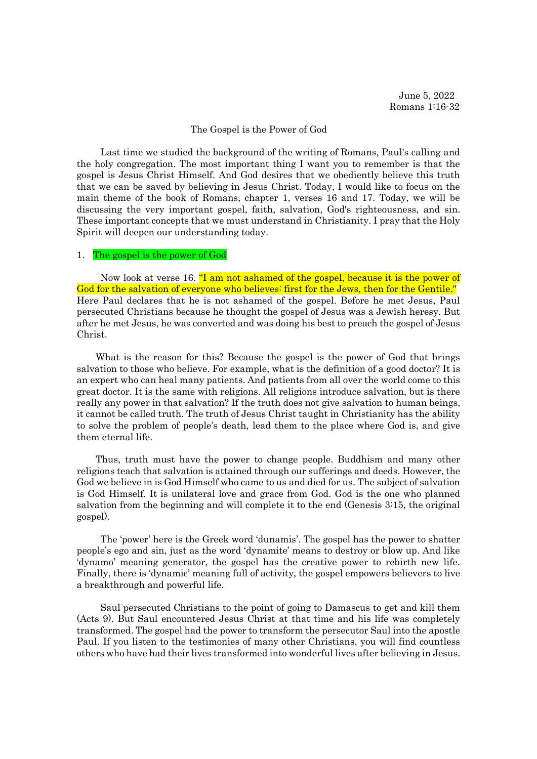June 5, 2022 Romans 1:16-32

### The Gospel is the Power of God

Last time we studied the background of the writing of Romans, Paul's calling and the holy congregation. The most important thing I want you to remember is that the gospel is Jesus Christ Himself. And God desires that we obediently believe this truth that we can be saved by believing in Jesus Christ. Today, I would like to focus on the main theme of the book of Romans, chapter 1, verses 16 and 17. Today, we will be discussing the very important gospel, faith, salvation, God's righteousness, and sin. These important concepts that we must understand in Christianity. I pray that the Holy Spirit will deepen our understanding today.

### 1. The gospel is the power of God

Now look at verse 16. "I am not ashamed of the gospel, because it is the power of God for the salvation of everyone who believes: first for the Jews, then for the Gentile." Here Paul declares that he is not ashamed of the gospel. Before he met Jesus, Paul persecuted Christians because he thought the gospel of Jesus was a Jewish heresy. But after he met Jesus, he was converted and was doing his best to preach the gospel of Jesus Christ.

What is the reason for this? Because the gospel is the power of God that brings salvation to those who believe. For example, what is the definition of a good doctor? It is an expert who can heal many patients. And patients from all over the world come to this great doctor. It is the same with religions. All religions introduce salvation, but is there really any power in that salvation? If the truth does not give salvation to human beings, it cannot be called truth. The truth of Jesus Christ taught in Christianity has the ability to solve the problem of people's death, lead them to the place where God is, and give them eternal life.

Thus, truth must have the power to change people. Buddhism and many other religions teach that salvation is attained through our sufferings and deeds. However, the God we believe in is God Himself who came to us and died for us. The subject of salvation is God Himself. It is unilateral love and grace from God. God is the one who planned salvation from the beginning and will complete it to the end (Genesis 3:15, the original gospel).

The 'power' here is the Greek word 'dunamis'. The gospel has the power to shatter people's ego and sin, just as the word 'dynamite' means to destroy or blow up. And like 'dynamo' meaning generator, the gospel has the creative power to rebirth new life. Finally, there is 'dynamic' meaning full of activity, the gospel empowers believers to live a breakthrough and powerful life.

Saul persecuted Christians to the point of going to Damascus to get and kill them (Acts 9). But Saul encountered Jesus Christ at that time and his life was completely transformed. The gospel had the power to transform the persecutor Saul into the apostle Paul. If you listen to the testimonies of many other Christians, you will find countless others who have had their lives transformed into wonderful lives after believing in Jesus.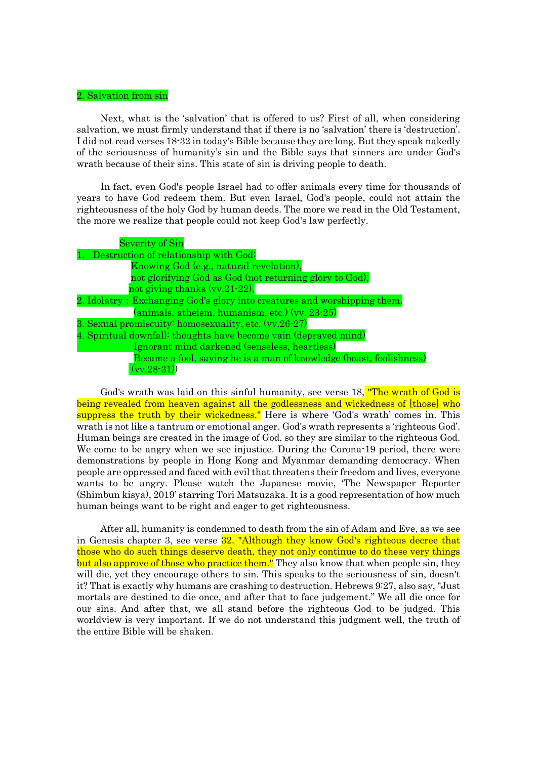# 2. Salvation from sin

Next, what is the 'salvation' that is offered to us? First of all, when considering salvation, we must firmly understand that if there is no 'salvation' there is 'destruction'. I did not read verses 18-32 in today's Bible because they are long. But they speak nakedly of the seriousness of humanity's sin and the Bible says that sinners are under God's wrath because of their sins. This state of sin is driving people to death.

In fact, even God's people Israel had to offer animals every time for thousands of years to have God redeem them. But even Israel, God's people, could not attain the righteousness of the holy God by human deeds. The more we read in the Old Testament, the more we realize that people could not keep God's law perfectly.

| <b>Severity of Sin</b>                                                   |
|--------------------------------------------------------------------------|
| 1. Destruction of relationship with God:                                 |
| Knowing God (e.g., natural revelation),                                  |
| not glorifying God as God (not returning glory to God),                  |
| not giving thanks $(vv.21-22)$ .                                         |
| 2. Idolatry: Exchanging God's glory into creatures and worshipping them. |
| $(\text{animals, atheism, humanism, etc.})$ (vv. 23-25)                  |
| 3. Sexual promiscuity: homosexuality, etc. (vv.26-27)                    |
| 4. Spiritual downfall: thoughts have become vain (depraved mind)         |
| Ignorant mind darkened (senseless, heartless)                            |
| Became a fool, saying he is a man of knowledge (boast, foolishness)      |
| $(vv.28-31)$                                                             |

God's wrath was laid on this sinful humanity, see verse 18. The wrath of God is being revealed from heaven against all the godlessness and wickedness of [those] who suppress the truth by their wickedness." Here is where 'God's wrath' comes in. This wrath is not like a tantrum or emotional anger. God's wrath represents a 'righteous God'. Human beings are created in the image of God, so they are similar to the righteous God. We come to be angry when we see injustice. During the Corona-19 period, there were demonstrations by people in Hong Kong and Myanmar demanding democracy. When people are oppressed and faced with evil that threatens their freedom and lives, everyone wants to be angry. Please watch the Japanese movie, 'The Newspaper Reporter (Shimbun kisya), 2019' starring Tori Matsuzaka. It is a good representation of how much human beings want to be right and eager to get righteousness.

After all, humanity is condemned to death from the sin of Adam and Eve, as we see in Genesis chapter 3, see verse **32.** "Although they know God's righteous decree that those who do such things deserve death, they not only continue to do these very things but also approve of those who practice them." They also know that when people sin, they will die, yet they encourage others to sin. This speaks to the seriousness of sin, doesn't it? That is exactly why humans are crashing to destruction. Hebrews 9:27, also say, "Just mortals are destined to die once, and after that to face judgement." We all die once for our sins. And after that, we all stand before the righteous God to be judged. This worldview is very important. If we do not understand this judgment well, the truth of the entire Bible will be shaken.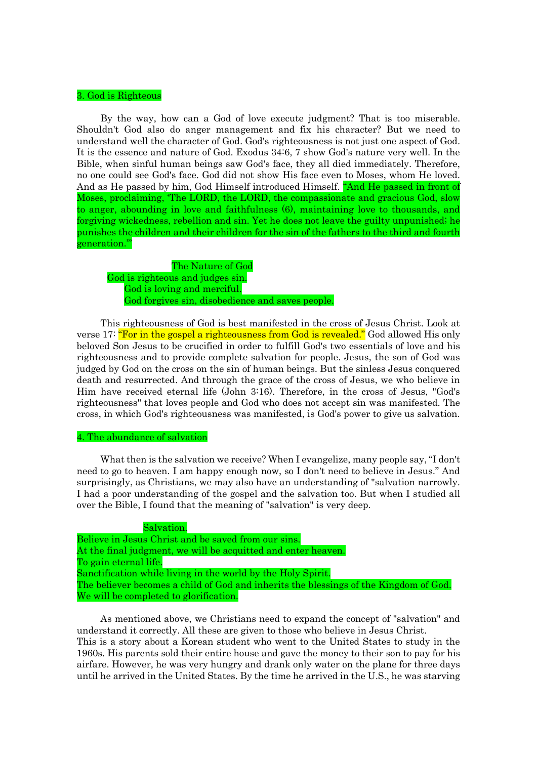# 3. God is Righteous

By the way, how can a God of love execute judgment? That is too miserable. Shouldn't God also do anger management and fix his character? But we need to understand well the character of God. God's righteousness is not just one aspect of God. It is the essence and nature of God. Exodus 34:6, 7 show God's nature very well. In the Bible, when sinful human beings saw God's face, they all died immediately. Therefore, no one could see God's face. God did not show His face even to Moses, whom He loved. And as He passed by him, God Himself introduced Himself. "And He passed in front of Moses, proclaiming, 'The LORD, the LORD, the compassionate and gracious God, slow to anger, abounding in love and faithfulness (6), maintaining love to thousands, and forgiving wickedness, rebellion and sin. Yet he does not leave the guilty unpunished; he punishes the children and their children for the sin of the fathers to the third and fourth generation.'"

 The Nature of God God is righteous and judges sin. God is loving and merciful. God forgives sin, disobedience and saves people.

This righteousness of God is best manifested in the cross of Jesus Christ. Look at verse 17: "For in the gospel a righteousness from God is revealed." God allowed His only beloved Son Jesus to be crucified in order to fulfill God's two essentials of love and his righteousness and to provide complete salvation for people. Jesus, the son of God was judged by God on the cross on the sin of human beings. But the sinless Jesus conquered death and resurrected. And through the grace of the cross of Jesus, we who believe in Him have received eternal life (John 3:16). Therefore, in the cross of Jesus, "God's righteousness" that loves people and God who does not accept sin was manifested. The cross, in which God's righteousness was manifested, is God's power to give us salvation.

#### 4. The abundance of salvation

What then is the salvation we receive? When I evangelize, many people say, "I don't need to go to heaven. I am happy enough now, so I don't need to believe in Jesus." And surprisingly, as Christians, we may also have an understanding of "salvation narrowly. I had a poor understanding of the gospel and the salvation too. But when I studied all over the Bible, I found that the meaning of "salvation" is very deep.

| Salvation.                                                                            |
|---------------------------------------------------------------------------------------|
| Believe in Jesus Christ and be saved from our sins.                                   |
| At the final judgment, we will be acquitted and enter heaven.                         |
| To gain eternal life.                                                                 |
| Sanctification while living in the world by the Holy Spirit.                          |
| The believer becomes a child of God and inherits the blessings of the Kingdom of God. |
| We will be completed to glorification.                                                |

As mentioned above, we Christians need to expand the concept of "salvation" and understand it correctly. All these are given to those who believe in Jesus Christ. This is a story about a Korean student who went to the United States to study in the 1960s. His parents sold their entire house and gave the money to their son to pay for his airfare. However, he was very hungry and drank only water on the plane for three days until he arrived in the United States. By the time he arrived in the U.S., he was starving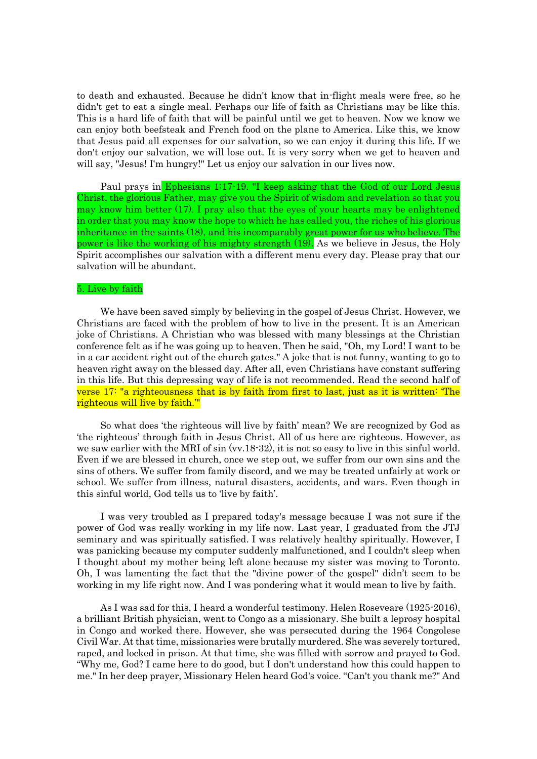to death and exhausted. Because he didn't know that in-flight meals were free, so he didn't get to eat a single meal. Perhaps our life of faith as Christians may be like this. This is a hard life of faith that will be painful until we get to heaven. Now we know we can enjoy both beefsteak and French food on the plane to America. Like this, we know that Jesus paid all expenses for our salvation, so we can enjoy it during this life. If we don't enjoy our salvation, we will lose out. It is very sorry when we get to heaven and will say, "Jesus! I'm hungry!" Let us enjoy our salvation in our lives now.

Paul prays in Ephesians 1:17-19. "I keep asking that the God of our Lord Jesus Christ, the glorious Father, may give you the Spirit of wisdom and revelation so that you may know him better (17). I pray also that the eyes of your hearts may be enlightened in order that you may know the hope to which he has called you, the riches of his glorious inheritance in the saints (18), and his incomparably great power for us who believe. The power is like the working of his mighty strength (19). As we believe in Jesus, the Holy Spirit accomplishes our salvation with a different menu every day. Please pray that our salvation will be abundant.

#### 5. Live by faith

We have been saved simply by believing in the gospel of Jesus Christ. However, we Christians are faced with the problem of how to live in the present. It is an American joke of Christians. A Christian who was blessed with many blessings at the Christian conference felt as if he was going up to heaven. Then he said, "Oh, my Lord! I want to be in a car accident right out of the church gates." A joke that is not funny, wanting to go to heaven right away on the blessed day. After all, even Christians have constant suffering in this life. But this depressing way of life is not recommended. Read the second half of verse 17: "a righteousness that is by faith from first to last, just as it is written: 'The righteous will live by faith.'"

So what does 'the righteous will live by faith' mean? We are recognized by God as 'the righteous' through faith in Jesus Christ. All of us here are righteous. However, as we saw earlier with the MRI of sin (vv.18-32), it is not so easy to live in this sinful world. Even if we are blessed in church, once we step out, we suffer from our own sins and the sins of others. We suffer from family discord, and we may be treated unfairly at work or school. We suffer from illness, natural disasters, accidents, and wars. Even though in this sinful world, God tells us to 'live by faith'.

I was very troubled as I prepared today's message because I was not sure if the power of God was really working in my life now. Last year, I graduated from the JTJ seminary and was spiritually satisfied. I was relatively healthy spiritually. However, I was panicking because my computer suddenly malfunctioned, and I couldn't sleep when I thought about my mother being left alone because my sister was moving to Toronto. Oh, I was lamenting the fact that the "divine power of the gospel" didn't seem to be working in my life right now. And I was pondering what it would mean to live by faith.

As I was sad for this, I heard a wonderful testimony. Helen Roseveare (1925-2016), a brilliant British physician, went to Congo as a missionary. She built a leprosy hospital in Congo and worked there. However, she was persecuted during the 1964 Congolese Civil War. At that time, missionaries were brutally murdered. She was severely tortured, raped, and locked in prison. At that time, she was filled with sorrow and prayed to God. "Why me, God? I came here to do good, but I don't understand how this could happen to me." In her deep prayer, Missionary Helen heard God's voice. "Can't you thank me?" And